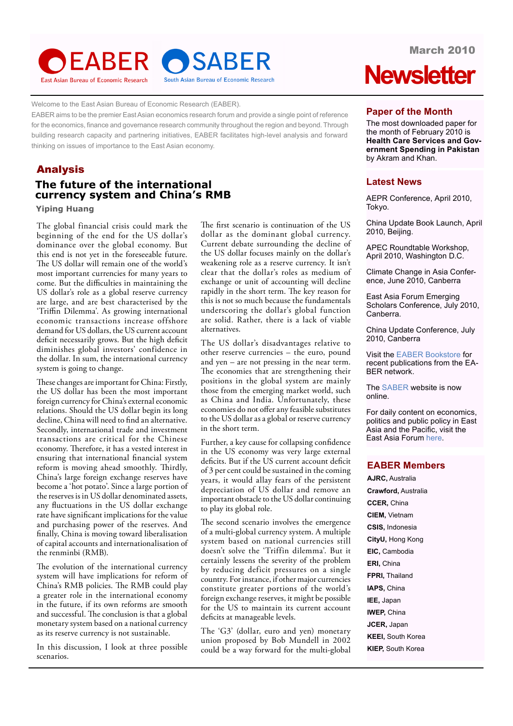

Welcome to the East Asian Bureau of Economic Research (EABER).

EABER aims to be the premier East Asian economics research forum and provide a single point of reference for the economics, finance and governance research community throughout the region and beyond. Through building research capacity and partnering initiatives, EABER facilitates high-level analysis and forward thinking on issues of importance to the East Asian economy.

# **org**  Analysis

## **The future of the international currency system and China's RMB**

**Yiping Huang** 

The global financial crisis could mark the beginning of the end for the US dollar's dominance over the global economy. But this end is not yet in the foreseeable future. The US dollar will remain one of the world's most important currencies for many years to come. But the difficulties in maintaining the US dollar's role as a global reserve currency are large, and are best characterised by the 'Triffin Dilemma'. As growing international economic transactions increase offshore demand for US dollars, the US current account deficit necessarily grows. But the high deficit diminishes global investors' confidence in the dollar. In sum, the international currency system is going to change.

These changes are important for China: Firstly, the US dollar has been the most important foreign currency for China's external economic relations. Should the US dollar begin its long decline, China will need to find an alternative. Secondly, international trade and investment transactions are critical for the Chinese economy. Therefore, it has a vested interest in ensuring that international financial system reform is moving ahead smoothly. Thirdly, China's large foreign exchange reserves have become a 'hot potato'. Since a large portion of the reserves is in US dollar denominated assets, any fluctuations in the US dollar exchange rate have significant implications for the value and purchasing power of the reserves. And finally, China is moving toward liberalisation of capital accounts and internationalisation of the renminbi (RMB).

The evolution of the international currency system will have implications for reform of China's RMB policies. The RMB could play a greater role in the international economy in the future, if its own reforms are smooth and successful. The conclusion is that a global monetary system based on a national currency as its reserve currency is not sustainable.

In this discussion, I look at three possible scenarios.

The first scenario is continuation of the US dollar as the dominant global currency. Current debate surrounding the decline of the US dollar focuses mainly on the dollar's weakening role as a reserve currency. It isn't clear that the dollar's roles as medium of exchange or unit of accounting will decline rapidly in the short term. The key reason for this is not so much because the fundamentals underscoring the dollar's global function are solid. Rather, there is a lack of viable alternatives.

The US dollar's disadvantages relative to other reserve currencies – the euro, pound and yen – are not pressing in the near term. The economies that are strengthening their positions in the global system are mainly those from the emerging market world, such as China and India. Unfortunately, these economies do not offer any feasible substitutes to the US dollar as a global or reserve currency in the short term.

Further, a key cause for collapsing confidence in the US economy was very large external deficits. But if the US current account deficit of 3 per cent could be sustained in the coming years, it would allay fears of the persistent depreciation of US dollar and remove an important obstacle to the US dollar continuing to play its global role.

The second scenario involves the emergence of a multi-global currency system. A multiple system based on national currencies still doesn't solve the 'Triffin dilemma'. But it certainly lessens the severity of the problem by reducing deficit pressures on a single country. For instance, if other major currencies constitute greater portions of the world's foreign exchange reserves, it might be possible for the US to maintain its current account deficits at manageable levels.

The 'G3' (dollar, euro and yen) monetary union proposed by Bob Mundell in 2002 could be a way forward for the multi-global

# **Newsletter**

## **Paper of the Month**

 East Asian Bureau of Economic Research **www.eaber.** by Akram and Khan. The most downloaded paper for the month of February 2010 is **[Health Care Services and Gov](http://www.eaber.org/intranet/documents/113/1269/PIDE_Akram_2007_02.pdf)[ernment Spending in Pakistan](http://www.eaber.org/intranet/documents/113/1269/PIDE_Akram_2007_02.pdf)**

#### **Latest News**

AEPR Conference, April 2010, Tokyo.

[China Update Book Launch](http://www.crawford.anu.edu.au/chinaupdate/), April 2010, Beijing.

APEC Roundtable Workshop, April 2010, Washington D.C.

Climate Change in Asia Conference, June 2010, Canberra

East Asia Forum [Emerging](http://www.eastasiaforum.org/eafq-emerging-scholars/)  Scholars [Conference](http://www.eastasiaforum.org/eafq-emerging-scholars/), July 2010, Canberra.

[China Update Conference, July](http://www.crawford.anu.edu.au/chinaupdate/)  [2010, Canberr](http://www.crawford.anu.edu.au/chinaupdate/)a

Visit the [EABER Bookstore](http://www.eaber.org/intranet/publish/Public/bookstore.php) for recent publications from the EA-BER network.

The [SABER](http://saber.eaber.org/) website is now online.

For daily content on economics, politics and public policy in East Asia and the Pacific, visit the [East Asia Forum here.](http://www.eastasiaforum.org)

### **EABER Members**

**[AJRC,](http://www.crawford.anu.edu.au/research_units/ajrc/index.php)** Australia **[Crawford](http://www.crawford.anu.edu.au/),** Australia **[CCER,](http://www.ccer.pku.edu.cn/en/)** China **[CIEM](http://www.ciem.org.vn/home/en/home/index.jsp),** Vietnam **[CSIS,](http://www.csis.or.id/)** Indonesia **[CityU](http://www.cityu.edu.hk),** Hong Kong **[EIC](http://www.eicambodia.org),** Cambodia **[ERI](http://www.eri.org.cn/e_index1.asp?columnid=41&title=What),** China **[FPRI](http://www.fispri.org/),** Thailand **[IAPS,](http://www.iapscass.cn/english/default.asp)** China **[IEE](http://eneken.ieej.or.jp/en/),** Japan **IWEP,** China **[JCER](http://www.jcer.or.jp/eng/index.html),** Japan **[KEEI,](http://www.keei.re.kr/keei/main_eng.html)** South Korea **[KIEP,](http://www.kiep.go.kr/eng/)** South Korea